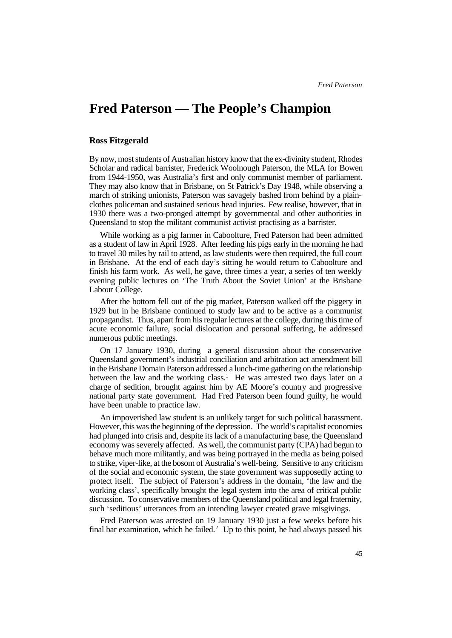# **Fred Paterson — The People's Champion**

## **Ross Fitzgerald**

By now, most students of Australian history know that the ex-divinity student, Rhodes Scholar and radical barrister, Frederick Woolnough Paterson, the MLA for Bowen from 1944-1950, was Australia's first and only communist member of parliament. They may also know that in Brisbane, on St Patrick's Day 1948, while observing a march of striking unionists, Paterson was savagely bashed from behind by a plainclothes policeman and sustained serious head injuries. Few realise, however, that in 1930 there was a two-pronged attempt by governmental and other authorities in Queensland to stop the militant communist activist practising as a barrister.

While working as a pig farmer in Caboolture, Fred Paterson had been admitted as a student of law in April 1928. After feeding his pigs early in the morning he had to travel 30 miles by rail to attend, as law students were then required, the full court in Brisbane. At the end of each day's sitting he would return to Caboolture and finish his farm work. As well, he gave, three times a year, a series of ten weekly evening public lectures on 'The Truth About the Soviet Union' at the Brisbane Labour College.

After the bottom fell out of the pig market, Paterson walked off the piggery in 1929 but in he Brisbane continued to study law and to be active as a communist propagandist. Thus, apart from his regular lectures at the college, during this time of acute economic failure, social dislocation and personal suffering, he addressed numerous public meetings.

On 17 January 1930, during a general discussion about the conservative Queensland government's industrial conciliation and arbitration act amendment bill in the Brisbane Domain Paterson addressed a lunch-time gathering on the relationship between the law and the working class.<sup>1</sup> He was arrested two days later on a charge of sedition, brought against him by AE Moore's country and progressive national party state government. Had Fred Paterson been found guilty, he would have been unable to practice law.

An impoverished law student is an unlikely target for such political harassment. However, this was the beginning of the depression. The world's capitalist economies had plunged into crisis and, despite its lack of a manufacturing base, the Queensland economy was severely affected. As well, the communist party (CPA) had begun to behave much more militantly, and was being portrayed in the media as being poised to strike, viper-like, at the bosom of Australia's well-being. Sensitive to any criticism of the social and economic system, the state government was supposedly acting to protect itself. The subject of Paterson's address in the domain, 'the law and the working class', specifically brought the legal system into the area of critical public discussion. To conservative members of the Queensland political and legal fraternity, such 'seditious' utterances from an intending lawyer created grave misgivings.

Fred Paterson was arrested on 19 January 1930 just a few weeks before his final bar examination, which he failed.<sup>2</sup> Up to this point, he had always passed his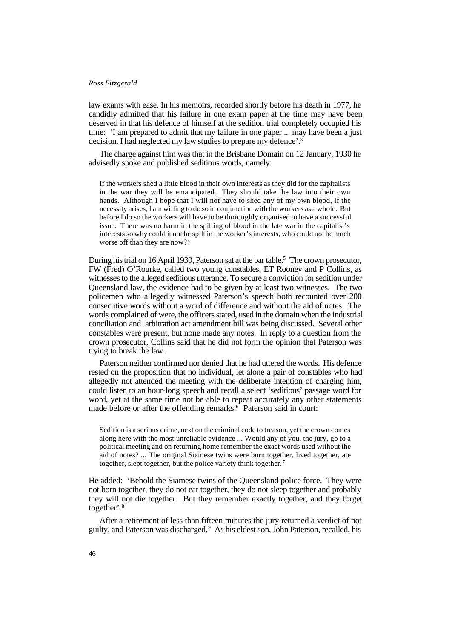law exams with ease. In his memoirs, recorded shortly before his death in 1977, he candidly admitted that his failure in one exam paper at the time may have been deserved in that his defence of himself at the sedition trial completely occupied his time: 'I am prepared to admit that my failure in one paper ... may have been a just decision. I had neglected my law studies to prepare my defence'.<sup>3</sup>

The charge against him was that in the Brisbane Domain on 12 January, 1930 he advisedly spoke and published seditious words, namely:

If the workers shed a little blood in their own interests as they did for the capitalists in the war they will be emancipated. They should take the law into their own hands. Although I hope that I will not have to shed any of my own blood, if the necessity arises, I am willing to do so in conjunction with the workers as a whole. But before I do so the workers will have to be thoroughly organised to have a successful issue. There was no harm in the spilling of blood in the late war in the capitalist's interests so why could it not be spilt in the worker's interests, who could not be much worse off than they are now?<sup>4</sup>

During his trial on 16 April 1930, Paterson sat at the bar table.<sup>5</sup> The crown prosecutor, FW (Fred) O'Rourke, called two young constables, ET Rooney and P Collins, as witnesses to the alleged seditious utterance. To secure a conviction for sedition under Queensland law, the evidence had to be given by at least two witnesses. The two policemen who allegedly witnessed Paterson's speech both recounted over 200 consecutive words without a word of difference and without the aid of notes. The words complained of were, the officers stated, used in the domain when the industrial conciliation and arbitration act amendment bill was being discussed. Several other constables were present, but none made any notes. In reply to a question from the crown prosecutor, Collins said that he did not form the opinion that Paterson was trying to break the law.

Paterson neither confirmed nor denied that he had uttered the words. His defence rested on the proposition that no individual, let alone a pair of constables who had allegedly not attended the meeting with the deliberate intention of charging him, could listen to an hour-long speech and recall a select 'seditious' passage word for word, yet at the same time not be able to repeat accurately any other statements made before or after the offending remarks.<sup>6</sup> Paterson said in court:

Sedition is a serious crime, next on the criminal code to treason, yet the crown comes along here with the most unreliable evidence ... Would any of you, the jury, go to a political meeting and on returning home remember the exact words used without the aid of notes? ... The original Siamese twins were born together, lived together, ate together, slept together, but the police variety think together. <sup>7</sup>

He added: 'Behold the Siamese twins of the Queensland police force. They were not born together, they do not eat together, they do not sleep together and probably they will not die together. But they remember exactly together, and they forget together'.<sup>8</sup>

After a retirement of less than fifteen minutes the jury returned a verdict of not guilty, and Paterson was discharged.<sup>9</sup> As his eldest son, John Paterson, recalled, his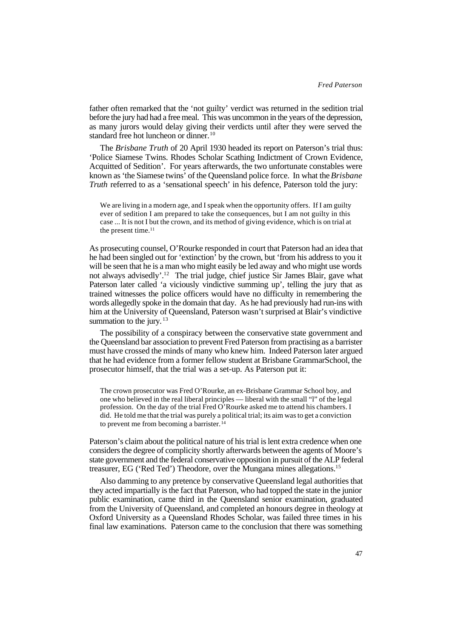father often remarked that the 'not guilty' verdict was returned in the sedition trial before the jury had had a free meal. This was uncommon in the years of the depression, as many jurors would delay giving their verdicts until after they were served the standard free hot luncheon or dinner.<sup>10</sup>

The *Brisbane Truth* of 20 April 1930 headed its report on Paterson's trial thus: 'Police Siamese Twins. Rhodes Scholar Scathing Indictment of Crown Evidence, Acquitted of Sedition'. For years afterwards, the two unfortunate constables were known as 'the Siamese twins' of the Queensland police force. In what the *Brisbane Truth* referred to as a 'sensational speech' in his defence, Paterson told the jury:

We are living in a modern age, and I speak when the opportunity offers. If I am guilty ever of sedition I am prepared to take the consequences, but I am not guilty in this case ... It is not I but the crown, and its method of giving evidence, which is on trial at the present time.<sup>11</sup>

As prosecuting counsel, O'Rourke responded in court that Paterson had an idea that he had been singled out for 'extinction' by the crown, but 'from his address to you it will be seen that he is a man who might easily be led away and who might use words not always advisedly'.<sup>12</sup> The trial judge, chief justice Sir James Blair, gave what Paterson later called 'a viciously vindictive summing up', telling the jury that as trained witnesses the police officers would have no difficulty in remembering the words allegedly spoke in the domain that day. As he had previously had run-ins with him at the University of Queensland, Paterson wasn't surprised at Blair's vindictive summation to the jury.  $13$ 

The possibility of a conspiracy between the conservative state government and the Queensland bar association to prevent Fred Paterson from practising as a barrister must have crossed the minds of many who knew him. Indeed Paterson later argued that he had evidence from a former fellow student at Brisbane GrammarSchool, the prosecutor himself, that the trial was a set-up. As Paterson put it:

The crown prosecutor was Fred O'Rourke, an ex-Brisbane Grammar School boy, and one who believed in the real liberal principles — liberal with the small "l" of the legal profession. On the day of the trial Fred O'Rourke asked me to attend his chambers. I did. He told me that the trial was purely a political trial; its aim was to get a conviction to prevent me from becoming a barrister. <sup>14</sup>

Paterson's claim about the political nature of his trial is lent extra credence when one considers the degree of complicity shortly afterwards between the agents of Moore's state government and the federal conservative opposition in pursuit of the ALP federal treasurer, EG ('Red Ted') Theodore, over the Mungana mines allegations.<sup>15</sup>

Also damming to any pretence by conservative Queensland legal authorities that they acted impartially is the fact that Paterson, who had topped the state in the junior public examination, came third in the Queensland senior examination, graduated from the University of Queensland, and completed an honours degree in theology at Oxford University as a Queensland Rhodes Scholar, was failed three times in his final law examinations. Paterson came to the conclusion that there was something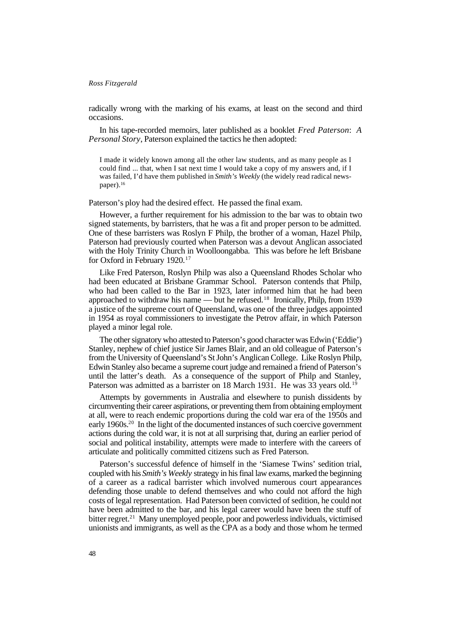radically wrong with the marking of his exams, at least on the second and third occasions.

In his tape-recorded memoirs, later published as a booklet *Fred Paterson*: *A Personal Story*, Paterson explained the tactics he then adopted:

I made it widely known among all the other law students, and as many people as I could find ... that, when I sat next time I would take a copy of my answers and, if I was failed, I'd have them published in *Smith's Weekly* (the widely read radical newspaper).<sup>16</sup>

Paterson's ploy had the desired effect. He passed the final exam.

However, a further requirement for his admission to the bar was to obtain two signed statements, by barristers, that he was a fit and proper person to be admitted. One of these barristers was Roslyn F Philp, the brother of a woman, Hazel Philp, Paterson had previously courted when Paterson was a devout Anglican associated with the Holy Trinity Church in Woolloongabba. This was before he left Brisbane for Oxford in February 1920.<sup>17</sup>

Like Fred Paterson, Roslyn Philp was also a Queensland Rhodes Scholar who had been educated at Brisbane Grammar School. Paterson contends that Philp, who had been called to the Bar in 1923, later informed him that he had been approached to withdraw his name — but he refused.<sup>18</sup> Ironically, Philp, from 1939 a justice of the supreme court of Queensland, was one of the three judges appointed in 1954 as royal commissioners to investigate the Petrov affair, in which Paterson played a minor legal role.

The other signatory who attested to Paterson's good character was Edwin ('Eddie') Stanley, nephew of chief justice Sir James Blair, and an old colleague of Paterson's from the University of Queensland's St John's Anglican College. Like Roslyn Philp, Edwin Stanley also became a supreme court judge and remained a friend of Paterson's until the latter's death. As a consequence of the support of Philp and Stanley, Paterson was admitted as a barrister on 18 March 1931. He was 33 years old.<sup>19</sup>

Attempts by governments in Australia and elsewhere to punish dissidents by circumventing their career aspirations, or preventing them from obtaining employment at all, were to reach endemic proportions during the cold war era of the 1950s and early 1960s.<sup>20</sup> In the light of the documented instances of such coercive government actions during the cold war, it is not at all surprising that, during an earlier period of social and political instability, attempts were made to interfere with the careers of articulate and politically committed citizens such as Fred Paterson.

Paterson's successful defence of himself in the 'Siamese Twins' sedition trial, coupled with his *Smith's Weekly* strategy in his final law exams, marked the beginning of a career as a radical barrister which involved numerous court appearances defending those unable to defend themselves and who could not afford the high costs of legal representation. Had Paterson been convicted of sedition, he could not have been admitted to the bar, and his legal career would have been the stuff of bitter regret.<sup>21</sup> Many unemployed people, poor and powerless individuals, victimised unionists and immigrants, as well as the CPA as a body and those whom he termed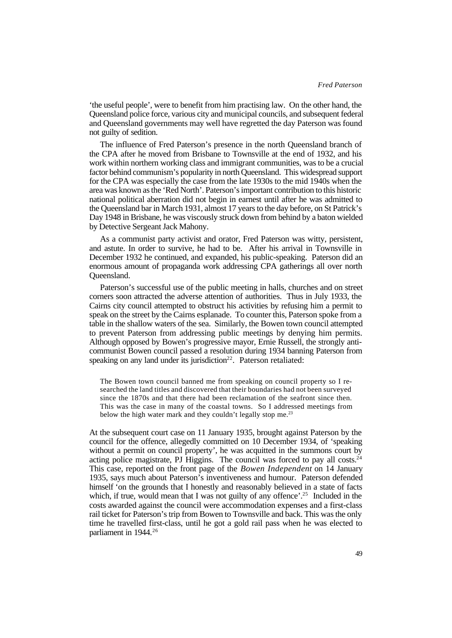'the useful people', were to benefit from him practising law. On the other hand, the Queensland police force, various city and municipal councils, and subsequent federal and Queensland governments may well have regretted the day Paterson was found not guilty of sedition.

The influence of Fred Paterson's presence in the north Queensland branch of the CPA after he moved from Brisbane to Townsville at the end of 1932, and his work within northern working class and immigrant communities, was to be a crucial factor behind communism's popularity in north Queensland. This widespread support for the CPA was especially the case from the late 1930s to the mid 1940s when the area was known as the 'Red North'. Paterson's important contribution to this historic national political aberration did not begin in earnest until after he was admitted to the Queensland bar in March 1931, almost 17 years to the day before, on St Patrick's Day 1948 in Brisbane, he was viscously struck down from behind by a baton wielded by Detective Sergeant Jack Mahony.

As a communist party activist and orator, Fred Paterson was witty, persistent, and astute. In order to survive, he had to be. After his arrival in Townsville in December 1932 he continued, and expanded, his public-speaking. Paterson did an enormous amount of propaganda work addressing CPA gatherings all over north Queensland.

Paterson's successful use of the public meeting in halls, churches and on street corners soon attracted the adverse attention of authorities. Thus in July 1933, the Cairns city council attempted to obstruct his activities by refusing him a permit to speak on the street by the Cairns esplanade. To counter this, Paterson spoke from a table in the shallow waters of the sea. Similarly, the Bowen town council attempted to prevent Paterson from addressing public meetings by denying him permits. Although opposed by Bowen's progressive mayor, Ernie Russell, the strongly anticommunist Bowen council passed a resolution during 1934 banning Paterson from speaking on any land under its jurisdiction<sup>22</sup>. Paterson retaliated:

The Bowen town council banned me from speaking on council property so I researched the land titles and discovered that their boundaries had not been surveyed since the 1870s and that there had been reclamation of the seafront since then. This was the case in many of the coastal towns. So I addressed meetings from below the high water mark and they couldn't legally stop me.<sup>23</sup>

At the subsequent court case on 11 January 1935, brought against Paterson by the council for the offence, allegedly committed on 10 December 1934, of 'speaking without a permit on council property', he was acquitted in the summons court by acting police magistrate, PJ Higgins. The council was forced to pay all costs.<sup>24</sup> This case, reported on the front page of the *Bowen Independent* on 14 January 1935, says much about Paterson's inventiveness and humour. Paterson defended himself 'on the grounds that I honestly and reasonably believed in a state of facts which, if true, would mean that I was not guilty of any offence'.<sup>25</sup> Included in the costs awarded against the council were accommodation expenses and a first-class rail ticket for Paterson's trip from Bowen to Townsville and back. This was the only time he travelled first-class, until he got a gold rail pass when he was elected to parliament in 1944.<sup>26</sup>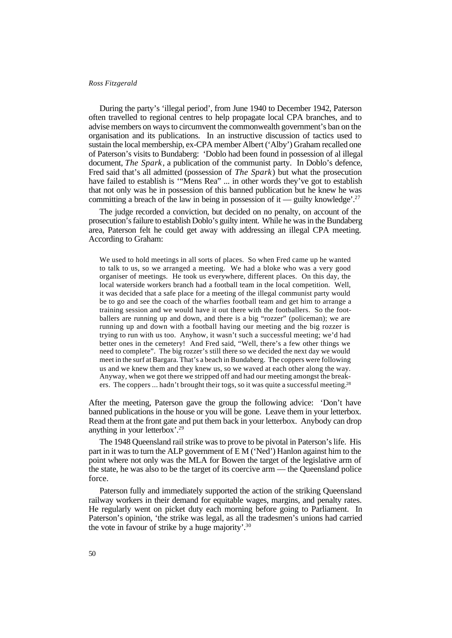During the party's 'illegal period', from June 1940 to December 1942, Paterson often travelled to regional centres to help propagate local CPA branches, and to advise members on ways to circumvent the commonwealth government's ban on the organisation and its publications. In an instructive discussion of tactics used to sustain the local membership, ex-CPA member Albert ('Alby') Graham recalled one of Paterson's visits to Bundaberg: 'Doblo had been found in possession of al illegal document, *The Spark*, a publication of the communist party. In Doblo's defence, Fred said that's all admitted (possession of *The Spark*) but what the prosecution have failed to establish is '"Mens Rea" ... in other words they've got to establish that not only was he in possession of this banned publication but he knew he was committing a breach of the law in being in possession of it — guilty knowledge'.<sup>27</sup>

The judge recorded a conviction, but decided on no penalty, on account of the prosecution's failure to establish Doblo's guilty intent. While he was in the Bundaberg area, Paterson felt he could get away with addressing an illegal CPA meeting. According to Graham:

We used to hold meetings in all sorts of places. So when Fred came up he wanted to talk to us, so we arranged a meeting. We had a bloke who was a very good organiser of meetings. He took us everywhere, different places. On this day, the local waterside workers branch had a football team in the local competition. Well, it was decided that a safe place for a meeting of the illegal communist party would be to go and see the coach of the wharfies football team and get him to arrange a training session and we would have it out there with the footballers. So the footballers are running up and down, and there is a big "rozzer" (policeman); we are running up and down with a football having our meeting and the big rozzer is trying to run with us too. Anyhow, it wasn't such a successful meeting; we'd had better ones in the cemetery! And Fred said, "Well, there's a few other things we need to complete". The big rozzer's still there so we decided the next day we would meet in the surf at Bargara. That's a beach in Bundaberg. The coppers were following us and we knew them and they knew us, so we waved at each other along the way. Anyway, when we got there we stripped off and had our meeting amongst the breakers. The coppers ... hadn't brought their togs, so it was quite a successful meeting.<sup>28</sup>

After the meeting, Paterson gave the group the following advice: 'Don't have banned publications in the house or you will be gone. Leave them in your letterbox. Read them at the front gate and put them back in your letterbox. Anybody can drop anything in your letterbox'.<sup>29</sup>

The 1948 Queensland rail strike was to prove to be pivotal in Paterson's life. His part in it was to turn the ALP government of E M ('Ned') Hanlon against him to the point where not only was the MLA for Bowen the target of the legislative arm of the state, he was also to be the target of its coercive arm — the Queensland police force.

Paterson fully and immediately supported the action of the striking Queensland railway workers in their demand for equitable wages, margins, and penalty rates. He regularly went on picket duty each morning before going to Parliament. In Paterson's opinion, 'the strike was legal, as all the tradesmen's unions had carried the vote in favour of strike by a huge majority'.30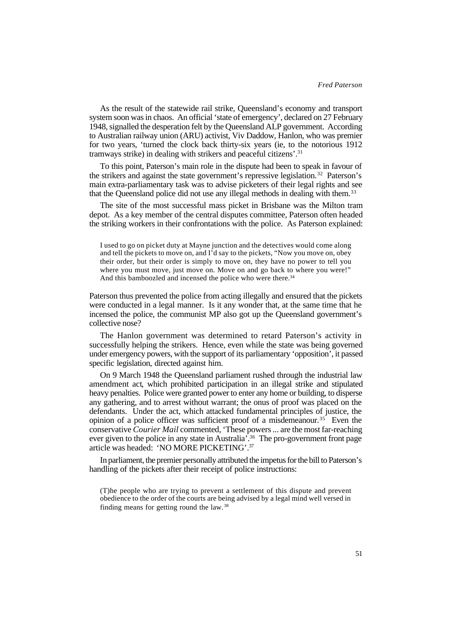As the result of the statewide rail strike, Queensland's economy and transport system soon was in chaos. An official 'state of emergency', declared on 27 February 1948, signalled the desperation felt by the Queensland ALP government. According to Australian railway union (ARU) activist, Viv Daddow, Hanlon, who was premier for two years, 'turned the clock back thirty-six years (ie, to the notorious 1912 tramways strike) in dealing with strikers and peaceful citizens'.<sup>31</sup>

To this point, Paterson's main role in the dispute had been to speak in favour of the strikers and against the state government's repressive legislation.<sup>32</sup> Paterson's main extra-parliamentary task was to advise picketers of their legal rights and see that the Queensland police did not use any illegal methods in dealing with them.<sup>33</sup>

The site of the most successful mass picket in Brisbane was the Milton tram depot. As a key member of the central disputes committee, Paterson often headed the striking workers in their confrontations with the police. As Paterson explained:

I used to go on picket duty at Mayne junction and the detectives would come along and tell the pickets to move on, and I'd say to the pickets, "Now you move on, obey their order, but their order is simply to move on, they have no power to tell you where you must move, just move on. Move on and go back to where you were!" And this bamboozled and incensed the police who were there.<sup>34</sup>

Paterson thus prevented the police from acting illegally and ensured that the pickets were conducted in a legal manner. Is it any wonder that, at the same time that he incensed the police, the communist MP also got up the Queensland government's collective nose?

The Hanlon government was determined to retard Paterson's activity in successfully helping the strikers. Hence, even while the state was being governed under emergency powers, with the support of its parliamentary 'opposition', it passed specific legislation, directed against him.

On 9 March 1948 the Queensland parliament rushed through the industrial law amendment act*,* which prohibited participation in an illegal strike and stipulated heavy penalties. Police were granted power to enter any home or building, to disperse any gathering, and to arrest without warrant; the onus of proof was placed on the defendants. Under the act, which attacked fundamental principles of justice, the opinion of a police officer was sufficient proof of a misdemeanour.<sup>35</sup> Even the conservative *Courier Mail* commented, 'These powers ... are the most far-reaching ever given to the police in any state in Australia<sup>'</sup>.<sup>36</sup> The pro-government front page article was headed: 'NO MORE PICKETING'.<sup>37</sup>

In parliament, the premier personally attributed the impetus for the bill to Paterson's handling of the pickets after their receipt of police instructions:

(T)he people who are trying to prevent a settlement of this dispute and prevent obedience to the order of the courts are being advised by a legal mind well versed in finding means for getting round the law. <sup>38</sup>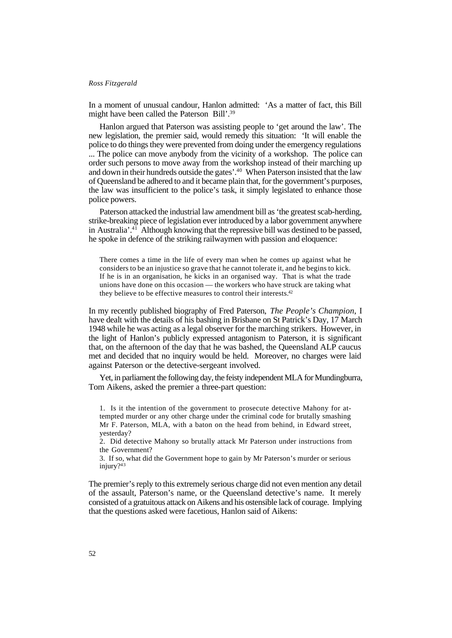In a moment of unusual candour, Hanlon admitted: 'As a matter of fact, this Bill might have been called the Paterson Bill'.<sup>39</sup>

Hanlon argued that Paterson was assisting people to 'get around the law'. The new legislation, the premier said, would remedy this situation: 'It will enable the police to do things they were prevented from doing under the emergency regulations ... The police can move anybody from the vicinity of a workshop. The police can order such persons to move away from the workshop instead of their marching up and down in their hundreds outside the gates'.<sup>40</sup> When Paterson insisted that the law of Queensland be adhered to and it became plain that, for the government's purposes, the law was insufficient to the police's task, it simply legislated to enhance those police powers.

Paterson attacked the industrial law amendment bill as 'the greatest scab-herding, strike-breaking piece of legislation ever introduced by a labor government anywhere in Australia'.<sup>41</sup> Although knowing that the repressive bill was destined to be passed, he spoke in defence of the striking railwaymen with passion and eloquence:

There comes a time in the life of every man when he comes up against what he considers to be an injustice so grave that he cannot tolerate it, and he begins to kick. If he is in an organisation, he kicks in an organised way. That is what the trade unions have done on this occasion — the workers who have struck are taking what they believe to be effective measures to control their interests.<sup>42</sup>

In my recently published biography of Fred Paterson, *The People's Champion*, I have dealt with the details of his bashing in Brisbane on St Patrick's Day, 17 March 1948 while he was acting as a legal observer for the marching strikers. However, in the light of Hanlon's publicly expressed antagonism to Paterson, it is significant that, on the afternoon of the day that he was bashed, the Queensland ALP caucus met and decided that no inquiry would be held. Moreover, no charges were laid against Paterson or the detective-sergeant involved.

Yet, in parliament the following day, the feisty independent MLA for Mundingburra, Tom Aikens, asked the premier a three-part question:

1. Is it the intention of the government to prosecute detective Mahony for attempted murder or any other charge under the criminal code for brutally smashing Mr F. Paterson, MLA, with a baton on the head from behind, in Edward street, yesterday?

2. Did detective Mahony so brutally attack Mr Paterson under instructions from the Government?

3. If so, what did the Government hope to gain by Mr Paterson's murder or serious injury?<sup>43</sup>

The premier's reply to this extremely serious charge did not even mention any detail of the assault, Paterson's name, or the Queensland detective's name. It merely consisted of a gratuitous attack on Aikens and his ostensible lack of courage. Implying that the questions asked were facetious, Hanlon said of Aikens: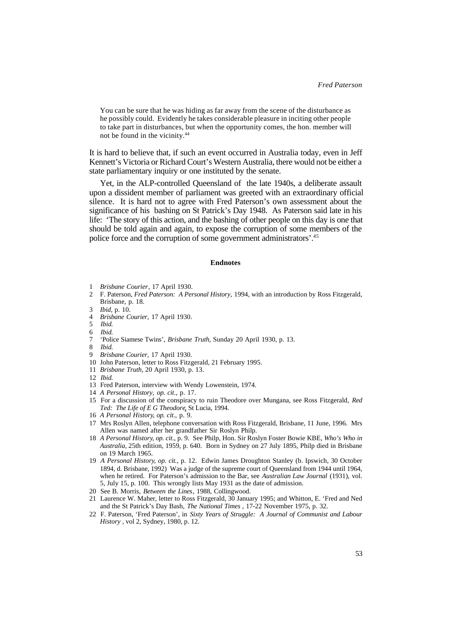You can be sure that he was hiding as far away from the scene of the disturbance as he possibly could. Evidently he takes considerable pleasure in inciting other people to take part in disturbances, but when the opportunity comes, the hon. member will not be found in the vicinity.<sup>44</sup>

It is hard to believe that, if such an event occurred in Australia today, even in Jeff Kennett's Victoria or Richard Court's Western Australia, there would not be either a state parliamentary inquiry or one instituted by the senate.

Yet, in the ALP-controlled Queensland of the late 1940s, a deliberate assault upon a dissident member of parliament was greeted with an extraordinary official silence. It is hard not to agree with Fred Paterson's own assessment about the significance of his bashing on St Patrick's Day 1948. As Paterson said late in his life: 'The story of this action, and the bashing of other people on this day is one that should be told again and again, to expose the corruption of some members of the police force and the corruption of some government administrators'.<sup>45</sup>

#### **Endnotes**

- 1 *Brisbane Courier*, 17 April 1930.
- 2 F. Paterson, *Fred Paterson: A Personal History,* 1994, with an introduction by Ross Fitzgerald, Brisbane, p. 18.
- 3 *Ibid*, p. 10.
- 4 *Brisbane Courier,* 17 April 1930.
- 5 *Ibid.*
- 6 *Ibid.*
- 7 'Police Siamese Twins', *Brisbane Truth,* Sunday 20 April 1930, p. 13.
- 8 *Ibid.*
- 9 *Brisbane Courier,* 17 April 1930.
- 10 John Paterson, letter to Ross Fitzgerald, 21 February 1995.
- 11 *Brisbane Truth,* 20 April 1930, p. 13.
- 12 *Ibid.*
- 13 Fred Paterson, interview with Wendy Lowenstein, 1974.
- 14 *A Personal History, op. cit*., p. 17.
- 15 For a discussion of the conspiracy to ruin Theodore over Mungana, see Ross Fitzgerald, *Red Ted: The Life of E G Theodore*, St Lucia, 1994.
- 16 *A Personal History*, *op. cit*., p. 9.
- 17 Mrs Roslyn Allen, telephone conversation with Ross Fitzgerald, Brisbane, 11 June, 1996. Mrs Allen was named after her grandfather Sir Roslyn Philp.
- 18 *A Personal History*, *op. cit*., p. 9. See Philp, Hon. Sir Roslyn Foster Bowie KBE, *Who's Who in Australia,* 25th edition, 1959, p. 640. Born in Sydney on 27 July 1895, Philp died in Brisbane on 19 March 1965.
- 19 *A Personal History*, *op. cit.*, p. 12. Edwin James Droughton Stanley (b. Ipswich, 30 October 1894, d. Brisbane, 1992) Was a judge of the supreme court of Queensland from 1944 until 1964, when he retired. For Paterson's admission to the Bar, see *Australian Law Journal* (1931), vol. 5, July 15, p. 100. This wrongly lists May 1931 as the date of admission.
- 20 See B. Morris, *Between the Lines*, 1988, Collingwood.
- 21 Laurence W. Maher, letter to Ross Fitzgerald, 30 January 1995; and Whitton, E. 'Fred and Ned and the St Patrick's Day Bash, *The National Times* , 17-22 November 1975, p. 32.
- 22 F. Paterson, 'Fred Paterson', in *Sixty Years of Struggle: A Journal of Communist and Labour History* , vol 2, Sydney, 1980, p. 12.